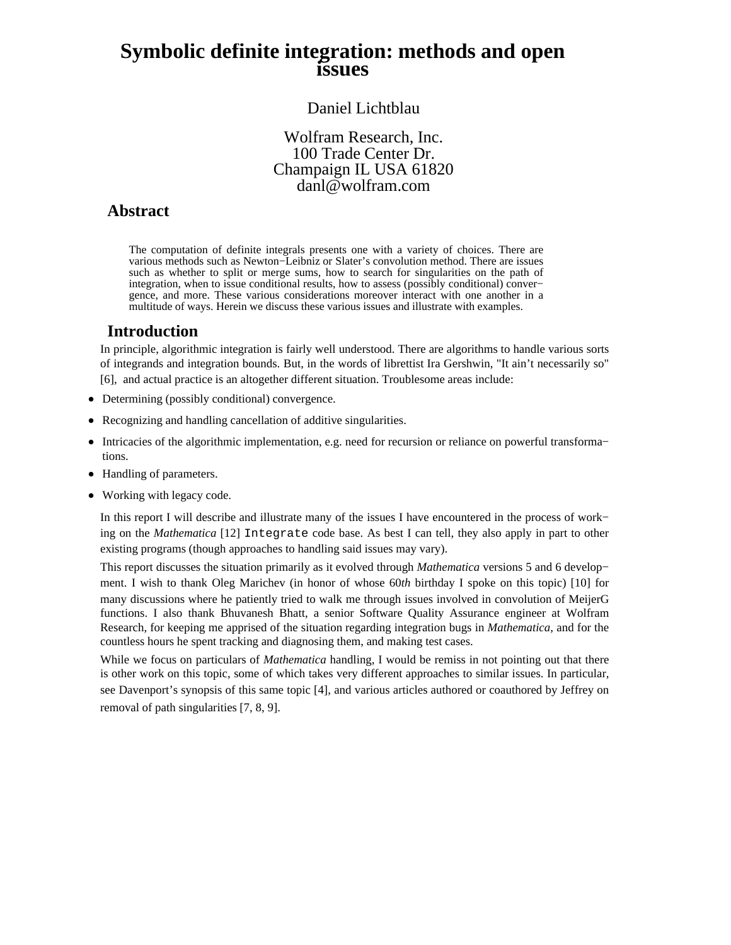# **Symbolic definite integration: methods and open issues**

# Daniel Lichtblau

Wolfram Research, Inc. 100 Trade Center Dr. Champaign IL USA 61820 danl@wolfram.com

# **Abstract**

The computation of definite integrals presents one with a variety of choices. There are various methods such as Newton−Leibniz or Slater's convolution method. There are issues such as whether to split or merge sums, how to search for singularities on the path of integration, when to issue conditional results, how to assess (possibly conditional) conver− gence, and more. These various considerations moreover interact with one another in a multitude of ways. Herein we discuss these various issues and illustrate with examples.

# **Introduction**

In principle, algorithmic integration is fairly well understood. There are algorithms to handle various sorts of integrands and integration bounds. But, in the words of librettist Ira Gershwin, "It ain't necessarily so" [6], and actual practice is an altogether different situation. Troublesome areas include:

- è Determining (possibly conditional) convergence.
- è Recognizing and handling cancellation of additive singularities.
- è Intricacies of the algorithmic implementation, e.g. need for recursion or reliance on powerful transforma− tions.
- è Handling of parameters.
- è Working with legacy code.

In this report I will describe and illustrate many of the issues I have encountered in the process of work− ing on the *Mathematica* [12] Integrate code base. As best I can tell, they also apply in part to other existing programs (though approaches to handling said issues may vary).

This report discusses the situation primarily as it evolved through *Mathematica* versions 5 and 6 develop− ment. I wish to thank Oleg Marichev (in honor of whose 60*th* birthday I spoke on this topic) [10] for many discussions where he patiently tried to walk me through issues involved in convolution of MeijerG functions. I also thank Bhuvanesh Bhatt, a senior Software Quality Assurance engineer at Wolfram Research, for keeping me apprised of the situation regarding integration bugs in *Mathematica*, and for the countless hours he spent tracking and diagnosing them, and making test cases.

While we focus on particulars of *Mathematica* handling, I would be remiss in not pointing out that there is other work on this topic, some of which takes very different approaches to similar issues. In particular, see Davenport's synopsis of this same topic [4], and various articles authored or coauthored by Jeffrey on removal of path singularities [7, 8, 9].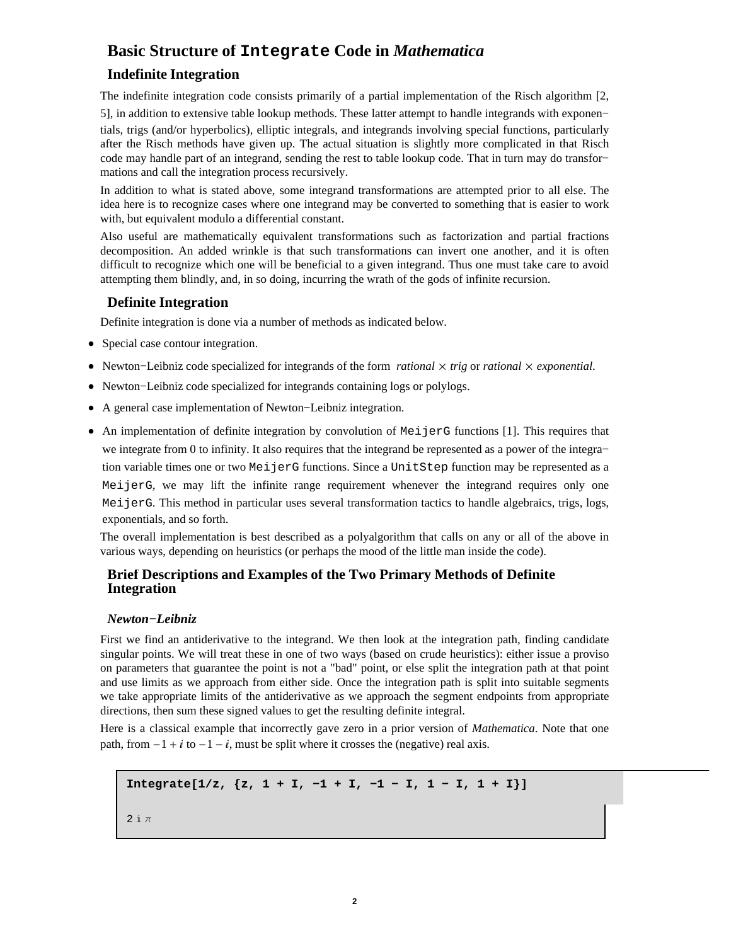# **Basic Structure of Integrate Code in** *Mathematica*

# **Indefinite Integration**

The indefinite integration code consists primarily of a partial implementation of the Risch algorithm [2,

5], in addition to extensive table lookup methods. These latter attempt to handle integrands with exponen− tials, trigs (and/or hyperbolics), elliptic integrals, and integrands involving special functions, particularly after the Risch methods have given up. The actual situation is slightly more complicated in that Risch code may handle part of an integrand, sending the rest to table lookup code. That in turn may do transfor− mations and call the integration process recursively.

In addition to what is stated above, some integrand transformations are attempted prior to all else. The idea here is to recognize cases where one integrand may be converted to something that is easier to work with, but equivalent modulo a differential constant.

Also useful are mathematically equivalent transformations such as factorization and partial fractions decomposition. An added wrinkle is that such transformations can invert one another, and it is often difficult to recognize which one will be beneficial to a given integrand. Thus one must take care to avoid attempting them blindly, and, in so doing, incurring the wrath of the gods of infinite recursion.

# **Definite Integration**

Definite integration is done via a number of methods as indicated below.

- è Special case contour integration.
- è Newton−Leibniz code specialized for integrands of the form *rational* ´ *trig* or *rational* ´ *exponential*.
- è Newton−Leibniz code specialized for integrands containing logs or polylogs.
- è A general case implementation of Newton−Leibniz integration.
- è An implementation of definite integration by convolution of MeijerG functions [1]. This requires that we integrate from 0 to infinity. It also requires that the integrand be represented as a power of the integra− tion variable times one or two MeijerG functions. Since a UnitStep function may be represented as a MeijerG, we may lift the infinite range requirement whenever the integrand requires only one MeijerG. This method in particular uses several transformation tactics to handle algebraics, trigs, logs, exponentials, and so forth.

The overall implementation is best described as a polyalgorithm that calls on any or all of the above in various ways, depending on heuristics (or perhaps the mood of the little man inside the code).

### **Brief Descriptions and Examples of the Two Primary Methods of Definite Integration**

### *Newton−Leibniz*

First we find an antiderivative to the integrand. We then look at the integration path, finding candidate singular points. We will treat these in one of two ways (based on crude heuristics): either issue a proviso on parameters that guarantee the point is not a "bad" point, or else split the integration path at that point and use limits as we approach from either side. Once the integration path is split into suitable segments we take appropriate limits of the antiderivative as we approach the segment endpoints from appropriate directions, then sum these signed values to get the resulting definite integral.

Here is a classical example that incorrectly gave zero in a prior version of *Mathematica*. Note that one path, from  $-1 + i$  to  $-1 - i$ , must be split where it crosses the (negative) real axis.

**Integrate[1/z, {z, 1 + I, −1 + I, −1 − I, 1 − I, 1 + I}]**

2 i $π$ 

### *Slater Convolution via MeijerG Products*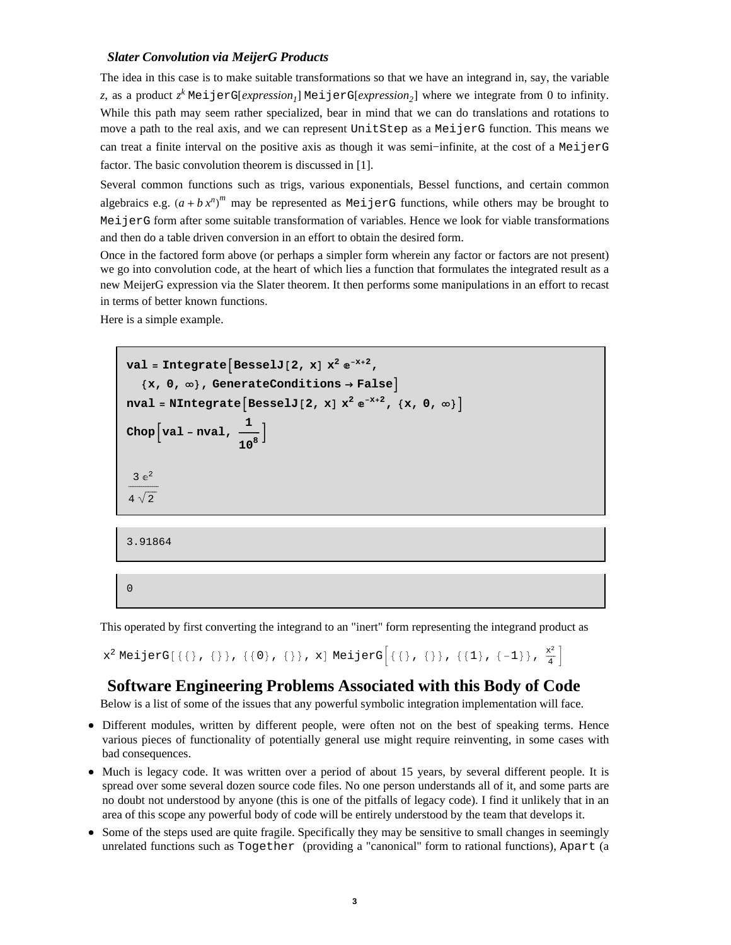### *Slater Convolution via MeijerG Products*

The idea in this case is to make suitable transformations so that we have an integrand in, say, the variable *z*, as a product  $z^k$  MeijerG[*expression<sub>1</sub>*] MeijerG[*expression<sub>2</sub>*] where we integrate from 0 to infinity. While this path may seem rather specialized, bear in mind that we can do translations and rotations to move a path to the real axis, and we can represent UnitStep as a MeijerG function. This means we can treat a finite interval on the positive axis as though it was semi−infinite, at the cost of a MeijerG factor. The basic convolution theorem is discussed in [1].

Several common functions such as trigs, various exponentials, Bessel functions, and certain common algebraics e.g.  $(a + b x^n)^m$  may be represented as MeijerG functions, while others may be brought to Mei jerG form after some suitable transformation of variables. Hence we look for viable transformations and then do a table driven conversion in an effort to obtain the desired form.

Once in the factored form above (or perhaps a simpler form wherein any factor or factors are not present) we go into convolution code, at the heart of which lies a function that formulates the integrated result as a new MeijerG expression via the Slater theorem. It then performs some manipulations in an effort to recast in terms of better known functions.

Here is a simple example.

 $\mathbf{val} = \texttt{Integrate}\left[\texttt{BesselJ[2, x]} \ \mathbf{x}^2 \ \mathbf{e}^{-\mathbf{x}+2} \right]$  $\{x, 0, \infty\}$ , GenerateConditions  $\rightarrow$  False  $\textbf{hval} = \text{NIntegrate}\left[\text{BesselJ}[2, \mathbf{x}] | \mathbf{x}^2 \text{ } \mathbf{e}^{-\mathbf{x}+2}, \ \{\mathbf{x}, \ 0, \ \infty\}\right]$  $\text{Chop}\left[\text{val - nval , } \frac{1}{\left| \mathbf{1} \right|^{8}} \right]$  $\frac{1}{10^8}$   $3 e<sup>2</sup>$  $4\sqrt{2}$ 

3.91864

0

This operated by first converting the integrand to an "inert" form representing the integrand product as

 $x^2$  MeijerG[{{}, {}}, {{0}, {}}, x] MeijerG $\Big[ \, \{ \}$ , {}}, {{1}, {-1}},  $\frac{x^2}{4}$  $\overline{4}$ 

### **Software Engineering Problems Associated with this Body of Code**

Below is a list of some of the issues that any powerful symbolic integration implementation will face.

- è Different modules, written by different people, were often not on the best of speaking terms. Hence various pieces of functionality of potentially general use might require reinventing, in some cases with bad consequences.
- è Much is legacy code. It was written over a period of about 15 years, by several different people. It is spread over some several dozen source code files. No one person understands all of it, and some parts are no doubt not understood by anyone (this is one of the pitfalls of legacy code). I find it unlikely that in an area of this scope any powerful body of code will be entirely understood by the team that develops it.
- è Some of the steps used are quite fragile. Specifically they may be sensitive to small changes in seemingly unrelated functions such as Together (providing a "canonical" form to rational functions), Apart (a

Integrate Factor Solve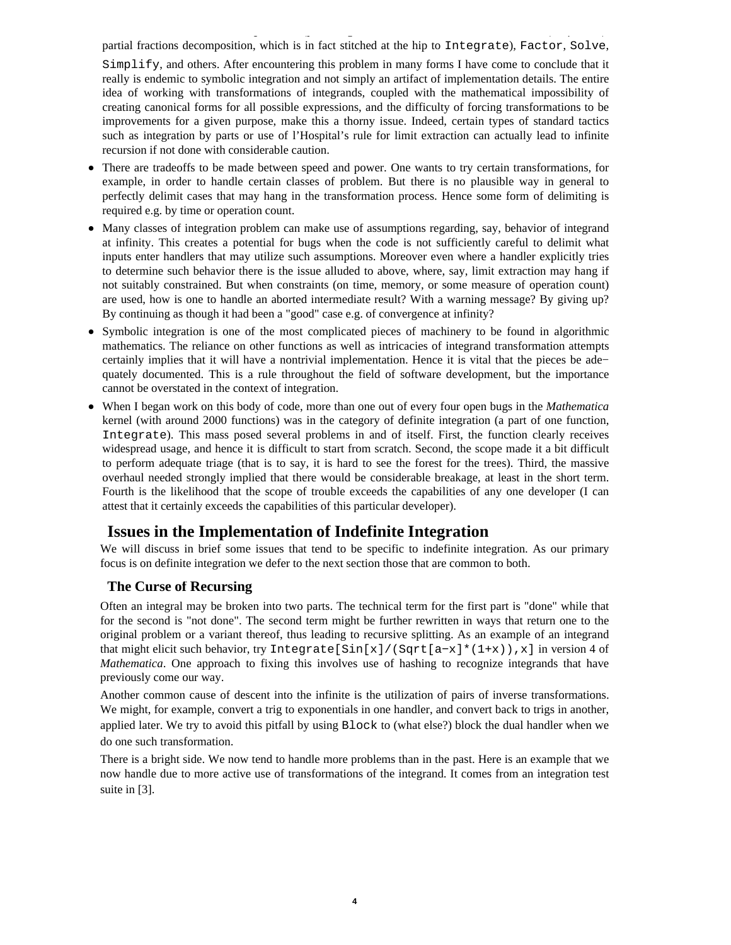partial fractions decomposition, which is in fact stitched at the hip to Integrate), Factor, Solve, Simplify, and others. After encountering this problem in many forms I have come to conclude that it really is endemic to symbolic integration and not simply an artifact of implementation details. The entire idea of working with transformations of integrands, coupled with the mathematical impossibility of creating canonical forms for all possible expressions, and the difficulty of forcing transformations to be improvements for a given purpose, make this a thorny issue. Indeed, certain types of standard tactics such as integration by parts or use of l'Hospital's rule for limit extraction can actually lead to infinite recursion if not done with considerable caution.

unrelated functions such as Together (providing a  $\sigma$  canonical functions), Apart (apart (apart (apart (apart

- è There are tradeoffs to be made between speed and power. One wants to try certain transformations, for example, in order to handle certain classes of problem. But there is no plausible way in general to perfectly delimit cases that may hang in the transformation process. Hence some form of delimiting is required e.g. by time or operation count.
- è Many classes of integration problem can make use of assumptions regarding, say, behavior of integrand at infinity. This creates a potential for bugs when the code is not sufficiently careful to delimit what inputs enter handlers that may utilize such assumptions. Moreover even where a handler explicitly tries to determine such behavior there is the issue alluded to above, where, say, limit extraction may hang if not suitably constrained. But when constraints (on time, memory, or some measure of operation count) are used, how is one to handle an aborted intermediate result? With a warning message? By giving up? By continuing as though it had been a "good" case e.g. of convergence at infinity?
- è Symbolic integration is one of the most complicated pieces of machinery to be found in algorithmic mathematics. The reliance on other functions as well as intricacies of integrand transformation attempts certainly implies that it will have a nontrivial implementation. Hence it is vital that the pieces be ade− quately documented. This is a rule throughout the field of software development, but the importance cannot be overstated in the context of integration.
- è When I began work on this body of code, more than one out of every four open bugs in the *Mathematica* kernel (with around 2000 functions) was in the category of definite integration (a part of one function, Integrate). This mass posed several problems in and of itself. First, the function clearly receives widespread usage, and hence it is difficult to start from scratch. Second, the scope made it a bit difficult to perform adequate triage (that is to say, it is hard to see the forest for the trees). Third, the massive overhaul needed strongly implied that there would be considerable breakage, at least in the short term. Fourth is the likelihood that the scope of trouble exceeds the capabilities of any one developer (I can attest that it certainly exceeds the capabilities of this particular developer).

# **Issues in the Implementation of Indefinite Integration**

We will discuss in brief some issues that tend to be specific to indefinite integration. As our primary focus is on definite integration we defer to the next section those that are common to both.

### **The Curse of Recursing**

è

Often an integral may be broken into two parts. The technical term for the first part is "done" while that for the second is "not done". The second term might be further rewritten in ways that return one to the original problem or a variant thereof, thus leading to recursive splitting. As an example of an integrand that might elicit such behavior, try Integrate[Sin[x]/(Sqrt[a-x]\*(1+x)), x] in version 4 of *Mathematica*. One approach to fixing this involves use of hashing to recognize integrands that have previously come our way.

Another common cause of descent into the infinite is the utilization of pairs of inverse transformations. We might, for example, convert a trig to exponentials in one handler, and convert back to trigs in another, applied later. We try to avoid this pitfall by using Block to (what else?) block the dual handler when we do one such transformation.

There is a bright side. We now tend to handle more problems than in the past. Here is an example that we now handle due to more active use of transformations of the integrand. It comes from an integration test suite in [3].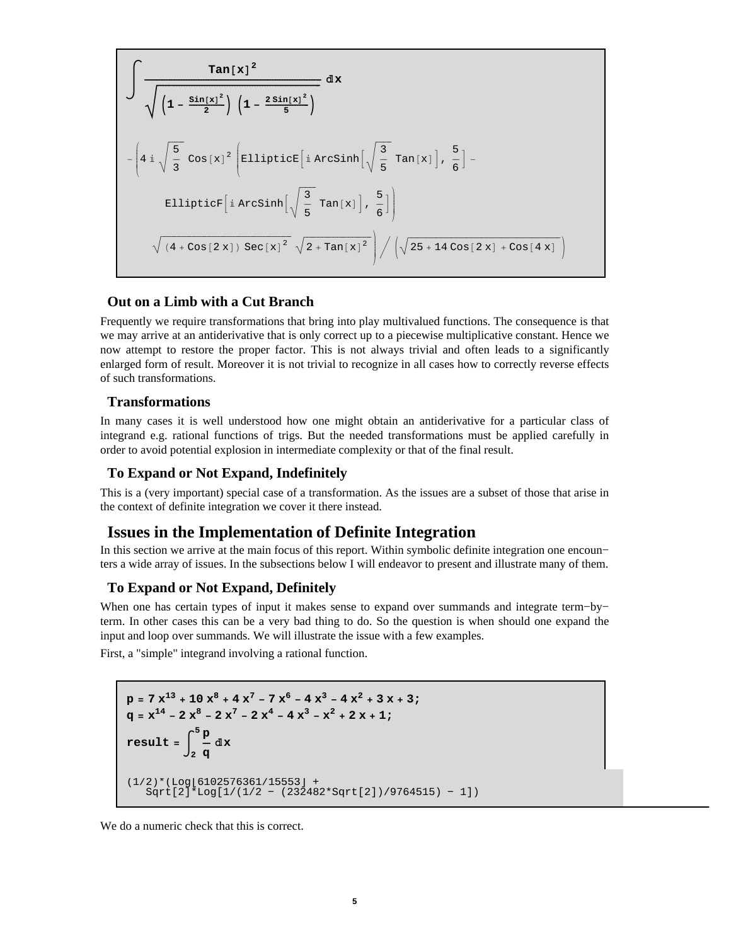$$
\int \frac{\tan \left[x\right]^{2}}{\sqrt{\left(1-\frac{\sin \left[x\right]^{2}}{2}\right)\left(1-\frac{2 \sin \left[x\right]^{2}}{5}\right)}} d\mathbf{x}
$$
\n
$$
-\left(4 \text{ i } \sqrt{\frac{5}{3}} \cos \left[x\right]^{2} \left[\text{EllipticE}\left[i \arcsin\left[\sqrt{\frac{3}{5}} \tan \left[x\right]\right], \frac{5}{6}\right] - \right]
$$
\n
$$
\text{EllipticF}\left[i \arcsin\left[\sqrt{\frac{3}{5}} \tan \left[x\right]\right], \frac{5}{6}\right]
$$
\n
$$
\sqrt{\left(4 + \cos \left[2 x\right]\right) \sec \left[x\right]^{2}} \sqrt{2 + \tan \left[x\right]^{2}} \right) / \left(\sqrt{25 + 14 \cos \left[2 x\right] + \cos \left[4 x\right]}\right)
$$

### Out on a Limb with a Cut Branch

Frequently we require transformations that bring into play multivalued functions. The consequence is that we may arrive at an antiderivative that is only correct up to a piecewise multiplicative constant. Hence we now attempt to restore the proper factor. This is not always trivial and often leads to a significantly enlarged form of result. Moreover it is not trivial to recognize in all cases how to correctly reverse effects of such transformations.

### **Transformations**

In many cases it is well understood how one might obtain an antiderivative for a particular class of integrand e.g. rational functions of trigs. But the needed transformations must be applied carefully in order to avoid potential explosion in intermediate complexity or that of the final result.

### To Expand or Not Expand, Indefinitely

This is a (very important) special case of a transformation. As the issues are a subset of those that arise in the context of definite integration we cover it there instead.

## **Issues in the Implementation of Definite Integration**

In this section we arrive at the main focus of this report. Within symbolic definite integration one encounters a wide array of issues. In the subsections below I will endeavor to present and illustrate many of them.

#### To Expand or Not Expand, Definitely

When one has certain types of input it makes sense to expand over summands and integrate term-byterm. In other cases this can be a very bad thing to do. So the question is when should one expand the input and loop over summands. We will illustrate the issue with a few examples.

First, a "simple" integrand involving a rational function.

$$
p = 7 x13 + 10 x8 + 4 x7 - 7 x6 - 4 x3 - 4 x2 + 3 x + 3;q = x14 - 2 x8 - 2 x7 - 2 x4 - 4 x3 - x2 + 2 x + 1;result = 
$$
\int_{2}^{5} \frac{p}{q} dx
$$

$$
(1/2) * (Log[6102576361/15553] + Sqr[2] * Log[1/(1/2 - (232482 * sqrt[2])/9764515) - 1])
$$
$$

We do a numeric check that this is correct.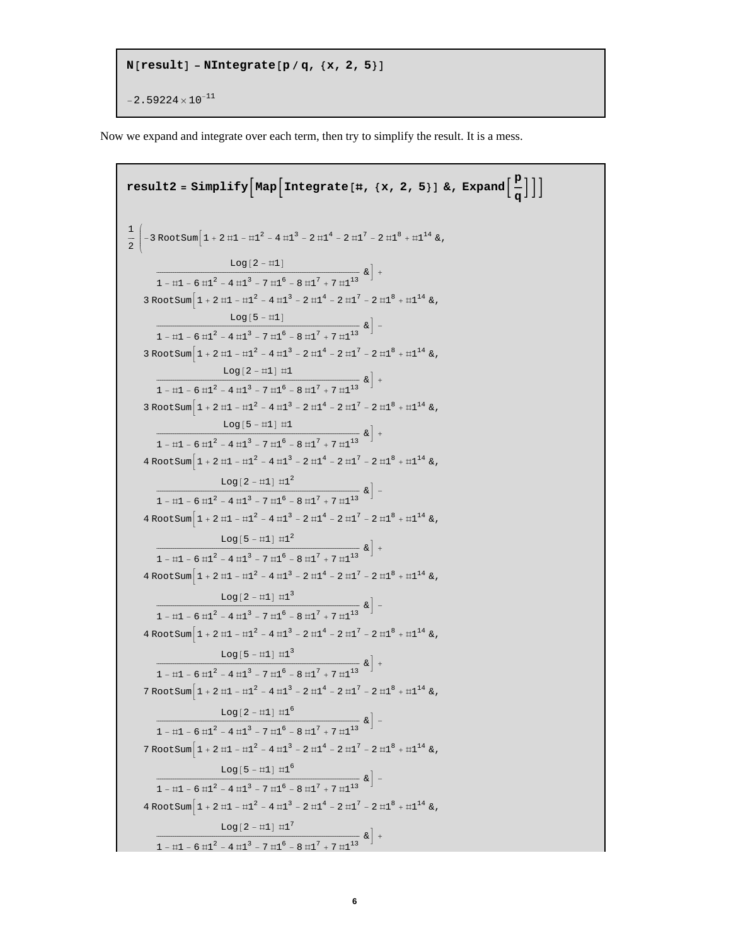```
N<sup>[</sup>\text{result}] - NIntegrate<sup>[\text{p} /q, {x, 2, 5}]</sup>
```

```
-2.59224\times 10^{-11}
```
Now we expand and integrate over each term, then try to simplify the result. It is a mess.

```
\texttt{result2} = \texttt{Simplify}\Big[\texttt{Map}\Big[\texttt{Integrate}\big[\texttt{\#}, \ \{x, \ 2, \ 5\}\big]\big]\ \&\ \texttt{B.}\ \texttt{Expand}\Big[\frac{\texttt{P}}{\texttt{P.}}\Big]\frac{1}{4}\frac{1}{1}2
       |-3 RootSum\left[1 + 2 \text{ }\sharp\mathrm{1} - \text{ }\sharp\mathrm{1}^2 - 4 \text{ }\sharp\mathrm{1}^3 - 2 \text{ }\sharp\mathrm{1}^4 - 2 \text{ }\sharp\mathrm{1}^7 - 2 \text{ }\sharp\mathrm{1}^8 + \sharp\mathrm{1}^{14} \text{ }\&\right,k
                   Log[2 - \#1]\frac{1 - \frac{1}{2} + \frac{1}{2} - 4 \frac{1}{2} + \frac{1}{2} + \frac{1}{2} + \frac{1}{2} + \frac{1}{2} + \frac{1}{2} + \frac{1}{2} + \frac{1}{2}}{1 - \frac{1}{2} + \frac{1}{2} + \frac{1}{2} + \frac{1}{2} + \frac{1}{2} + \frac{1}{2} + \frac{1}{2} + \frac{1}{2} + \frac{1}{2} + \frac{1}{2} + \frac{1}{2} + \frac{1}{2} + \frac{1}{2} + \frac{1}{2} + \frac{1}{2} + \frac{1}{2} + \frac{3 \text{ RootSum} 1 + 2 \text{ #1} - \text{#1}^2 - 4 \text{ #1}^3 - 2 \text{ #1}^4 - 2 \text{ #1}^7 - 2 \text{ #1}^8 + \text{#1}^{14} \text{ &},\begin{picture}(180,10) \put(0,0){\line(1,0){100}} \put(15,0){\line(1,0){100}} \put(15,0){\line(1,0){100}} \put(15,0){\line(1,0){100}} \put(15,0){\line(1,0){100}} \put(15,0){\line(1,0){100}} \put(15,0){\line(1,0){100}} \put(15,0){\line(1,0){100}} \put(15,0){\line(1,0){100}} \put(15,0){\line(1,0){100}} \put(15,0){\line(1,0){100}}\frac{1}{1 - \frac{\pi}{1} - 6 \frac{\pi}{1}^2 - 4 \frac{\pi}{1}^3 - 7 \frac{\pi}{1}^6 - 8 \frac{\pi}{1}^7 + 7 \frac{\pi}{1}^1} \frac{1^3}{1^3}}3 \text{ RootSum} 1 + 2 \text{ #1} - \text{#1}^2 - 4 \text{ #1}^3 - 2 \text{ #1}^4 - 2 \text{ #1}^7 - 2 \text{ #1}^8 + \text{#1}^{14} \text{ &},Log[2 - \frac{\text{H1}}{1}] #1
                   \frac{1}{1 - \frac{\text{+1}}{6} + \text{+1}^2 - 4 \text{+1}^3 - 7 \text{+1}^6 - 8 \text{+1}^7 + 7 \text{+1}^{13}} \text{ } \& \Big] +3 \text{ RootSum} \left[ 1 + 2 \text{ }\sharp \text{1} - \text{ }\sharp \text{1}^2 - 4 \text{ }\sharp \text{1}^3 - 2 \text{ }\sharp \text{1}^4 - 2 \text{ }\sharp \text{1}^7 - 2 \text{ }\sharp \text{1}^8 + \sharp \text{1}^{14} \text{ }\& \text{,} \right]Log[5 - \frac{\text{+1}}{1}] \text{ +1}\frac{1}{1 - \frac{\text{+1}}{6} + \text{+1}^2 - 4 \text{+1}^3 - 7 \text{+1}^6 - 8 \text{+1}^7 + 7 \text{+1}^{13}} \text{ } \& \Big] +4 \text{ RootSum} \left[ 1 + 2 \text{ }\sharp \text{1} - \text{ }\sharp \text{1}^2 - 4 \text{ }\sharp \text{1}^3 - 2 \text{ }\sharp \text{1}^4 - 2 \text{ }\sharp \text{1}^7 - 2 \text{ }\sharp \text{1}^8 + \sharp \text{1}^{14} \text{ }\& \text{,} \right]\frac{\text{Log}[2 - \text{\#1}] \text{\#1}^2}{2}\frac{1}{1 - \frac{\pi}{1} - 6 \frac{\pi}{1}^2 - 4 \frac{\pi}{1}^3 - 7 \frac{\pi}{1}^6 - 8 \frac{\pi}{1}^7 + 7 \frac{\pi}{1}^1} \frac{1^3}{1^3}}4 \text{ RootSum} \left[ 1 + 2 \text{ }\sharp \text{1} - \text{ }\sharp \text{1}^2 - 4 \text{ }\sharp \text{1}^3 - 2 \text{ }\sharp \text{1}^4 - 2 \text{ }\sharp \text{1}^7 - 2 \text{ }\sharp \text{1}^8 + \sharp \text{1}^{14} \text{ }\& \text{,} \right]\frac{\text{Log}[5 - \text{\#1}] \text{\#1}^2}{2}\frac{1 - \frac{1}{2} + \frac{1}{2} - 4 \frac{1}{2} + \frac{1}{2} + \frac{1}{2} + \frac{1}{2} + \frac{1}{2} + \frac{1}{2} + \frac{1}{2} + \frac{1}{2}}{1 - \frac{1}{2} + \frac{1}{2} + \frac{1}{2} + \frac{1}{2} + \frac{1}{2} + \frac{1}{2} + \frac{1}{2} + \frac{1}{2} + \frac{1}{2} + \frac{1}{2} + \frac{1}{2} + \frac{1}{2} + \frac{1}{2} + \frac{1}{2} + \frac{1}{2} + \frac{1}{2} + \frac{4 \text{ RootSum} \left[ 1 + 2 \text{ #1} - \text{#1}^2 - 4 \text{ #1}^3 - 2 \text{ #1}^4 - 2 \text{ #1}^7 - 2 \text{ #1}^8 + \text{#1}^{14} \text{ \&} \right],Log[2 - \frac{\pi}{1}] \frac{\pi}{1}^{3}\frac{54}{1 - \frac{11}{6} - 6 \frac{11^2}{6} - 4 \frac{11^3}{6} - 7 \frac{11^6}{6} - 8 \frac{11^7}{6} + 7 \frac{11^{13}}{6}} \text{ & } ] -4 \text{ RootSum} \left[ 1 + 2 \text{ }\sharp \text{1} - \text{ }\sharp \text{1}^2 - 4 \text{ }\sharp \text{1}^3 - 2 \text{ }\sharp \text{1}^4 - 2 \text{ }\sharp \text{1}^7 - 2 \text{ }\sharp \text{1}^8 + \sharp \text{1}^{14} \text{ }\& \text{,} \right]\frac{\text{Log}[5 - \text{\#1}] \text{\#1}^3}{2}\frac{1}{1 - \frac{\text{+1}}{6} + \text{+1}^2 - 4 \text{+1}^3 - 7 \text{+1}^6 - 8 \text{+1}^7 + 7 \text{+1}^{13}} \text{ } \& \Big] +7 RootSum 1 + 2 \sharp 1 - \sharp 1^2 - 4 \sharp 1^3 - 2 \sharp 1^4 - 2 \sharp 1^7 - 2 \sharp 1^8 + \sharp 1^{14} &,
                   Log[2 - \text{\#1}] \text{\#1}^6Log[2 - #1] #1<sup>6</sup>
                   \frac{1 - \frac{1}{2} + \frac{1}{2} - 4 \frac{1}{2} + \frac{1}{2} + \frac{1}{2} + \frac{1}{2} + \frac{1}{2} + \frac{1}{2} + \frac{1}{2} + \frac{1}{2} + \frac{1}{2}}{1 - \frac{1}{2} + \frac{1}{2} + \frac{1}{2} + \frac{1}{2} + \frac{1}{2} + \frac{1}{2} + \frac{1}{2} + \frac{1}{2} + \frac{1}{2} + \frac{1}{2} + \frac{1}{2} + \frac{1}{2} + \frac{1}{2} + \frac{1}{2} + \frac{1}{2} + \frac{7 RootSum \left[1 + 2 \right. \sharp 1 - \sharp 1^2 - 4 \sharp 1^3 - 2 \sharp 1^4 - 2 \sharp 1^7 - 2 \sharp 1^8 + \sharp 1^{14} \mathbf{ \& },
                   Log[5 - \frac{\text{#1}}{2}] \text{ #1}^6\frac{54}{1 - \frac{11}{6} - 6 \frac{11^2}{6} - 4 \frac{11^3}{6} - 7 \frac{11^6}{6} - 8 \frac{11^7}{6} + 7 \frac{11^{13}}{6}} \text{ & } ] -4 \text{ RootSum} \left[ 1 + 2 \text{ }\sharp \text{1} - \text{ }\sharp \text{1}^2 - 4 \text{ }\sharp \text{1}^3 - 2 \text{ }\sharp \text{1}^4 - 2 \text{ }\sharp \text{1}^7 - 2 \text{ }\sharp \text{1}^8 + \sharp \text{1}^{14} \text{ }\& \text{,} \right]\frac{\log[2 - \frac{\pi}{1}] \pi 1^7}{2 \log[2 - \frac{\pi}{1}]}\frac{1}{1 - \frac{\text{+1}}{6} + \text{+1}^2 - 4 \text{+1}^3 - 7 \text{+1}^6 - 8 \text{+1}^7 + 7 \text{+1}^{13}} \text{ } \& \Big] +
```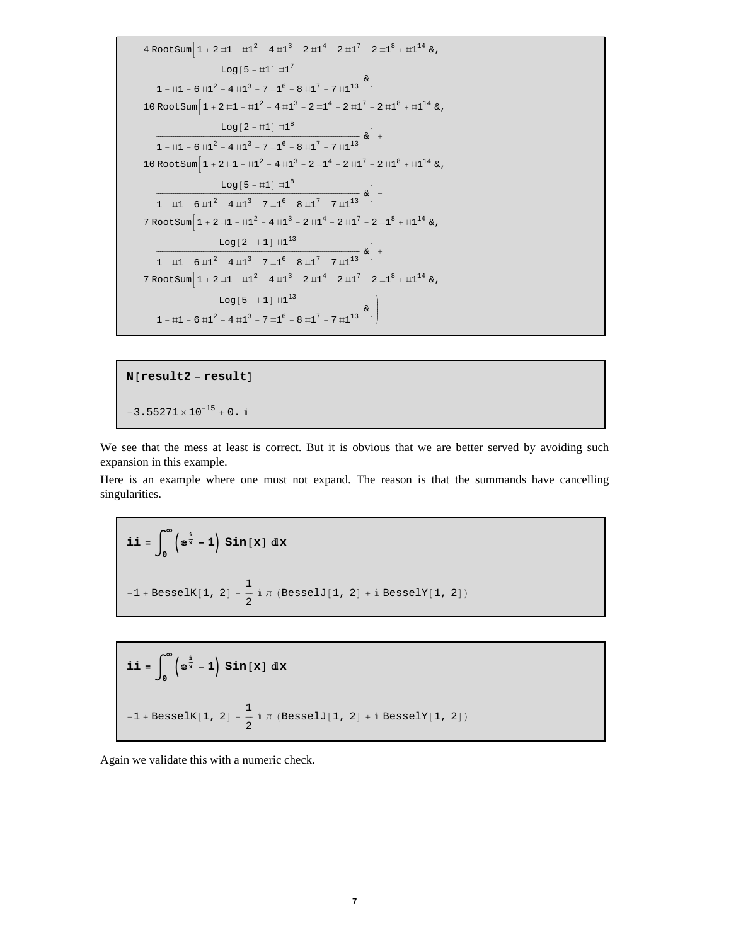$4 \; \text{RootSum} \Big[ 1 + 2 \; \text{\texttt{#1}} - \text{\texttt{#1}}^2 - 4 \; \text{\texttt{#1}}^3 - 2 \; \text{\texttt{#1}}^4 - 2 \; \text{\texttt{#1}}^7 - 2 \; \text{\texttt{#1}}^8 + \text{\texttt{#1}}^{14} \; \& \text{,} \end{split}$  $\frac{\text{Log}\left[5-\text{\tt\#1}\right]\,\text{\tt\#1}^7}{1-\text{\tt\#1}-6\,\text{\tt\#1}^2-4\,\text{\tt\#1}^3-7\,\text{\tt\#1}^6-8\,\text{\tt\#1}^7+7\,\text{\tt\#1}^{13}}\,\,\&\,\,\Big] 10 \; \text{RootSum}\Big[1 + 2 \; \text{#}1 - \text{#1}^2 - 4 \; \text{#1}^3 - 2 \; \text{#1}^4 - 2 \; \text{#1}^7 - 2 \; \text{#1}^8 + \text{#1}^{14} \; \& \; ,$  $\frac{\text{Log}[2 - \text{#1}] \text{ #1}^8}{1 - \text{#1} - 6 \text{ #1}^2 - 4 \text{ #1}^3 - 7 \text{ #1}^6 - 8 \text{ #1}^7 + 7 \text{ #1}^{13}} \text{ & } ]$ 10 RootSum  $1 + 2 \text{ H1} - \text{H1}^2 - 4 \text{ H1}^3 - 2 \text{ H1}^4 - 2 \text{ H1}^7 - 2 \text{ H1}^8 + \text{H1}^{14}$  &,  $\frac{\text{Log}\left[5-\text{\texttt{III}}\right]\,\text{\texttt{III}}^8}{1-\text{\texttt{III}}-6\,\text{\texttt{III}}^2-4\,\text{\texttt{III}}^3-7\,\text{\texttt{III}}^6-8\,\text{\texttt{III}}^7+7\,\text{\texttt{III}}^{13}}\,\,\&\,\,\Big] 7 \; \text{RootSum} \Big[ 1 + 2 \; \text{\texttt{#1}} - \text{\texttt{#1}}^2 - 4 \; \text{\texttt{#1}}^3 - 2 \; \text{\texttt{#1}}^4 - 2 \; \text{\texttt{#1}}^7 - 2 \; \text{\texttt{#1}}^8 + \text{\texttt{#1}}^{14} \; \& \text{\texttt{,}} \end{split}$  $\frac{\log \left[ \, 2 - \sharp \uparrow \right] \, \sharp \uparrow^{13}}{1 - \sharp \uparrow - 6 \, \sharp \uparrow^2 - 4 \, \sharp \uparrow^3 - 7 \, \sharp \uparrow^6 - 8 \, \sharp \uparrow^7 + 7 \, \sharp \uparrow^{13}} \, \, \& \, \Big] \, + \,$  $7 \; \text{RootSum} \Big[ 1 + 2 \; \text{\texttt{H1}} - \text{\texttt{H1}}^2 - 4 \; \text{\texttt{H1}}^3 - 2 \; \text{\texttt{H1}}^4 - 2 \; \text{\texttt{H1}}^7 - 2 \; \text{\texttt{H1}}^8 + \text{\texttt{H1}}^{14} \; \& \text{\texttt{,}} \end{split}$  $\frac{\log \left[5 - \# 1\right] \# 1^{13}}{1 - \# 1 - 6 \# 1^2 - 4 \# 1^3 - 7 \# 1^6 - 8 \# 1^7 + 7 \# 1^{13}} \; \& \, \Bigg] \Bigg)$ 

```
N[result2 - result]-3.55271 \times 10^{-15} + 0. i
```
We see that the mess at least is correct. But it is obvious that we are better served by avoiding such expansion in this example.

Here is an example where one must not expand. The reason is that the summands have cancelling singularities.

$$
\begin{aligned}\n\mathbf{ii} &= \int_0^\infty \left( \mathbf{e}^{\frac{i}{x}} - 1 \right) \sin\left[x\right] \, dx \\
\text{-}1 + \text{BesselK}[1, 2] + \frac{1}{2} \, \text{i} \, \pi \, (\text{BesselJ}[1, 2] + \text{i BesselY}[1, 2])\n\end{aligned}
$$

$$
\begin{aligned}\n\mathbf{i} \mathbf{i} &= \int_0^\infty \left( e^{\frac{i}{x}} - 1 \right) \sin\left[x\right] \, \mathrm{d}x \\
-1 + \text{BesselK}[1, 2] + \frac{1}{2} \, \mathrm{i} \, \pi \, (\text{BesselJ}[1, 2] + \mathrm{i} \, \text{BesselY}[1, 2])\n\end{aligned}
$$

Again we validate this with a numeric check.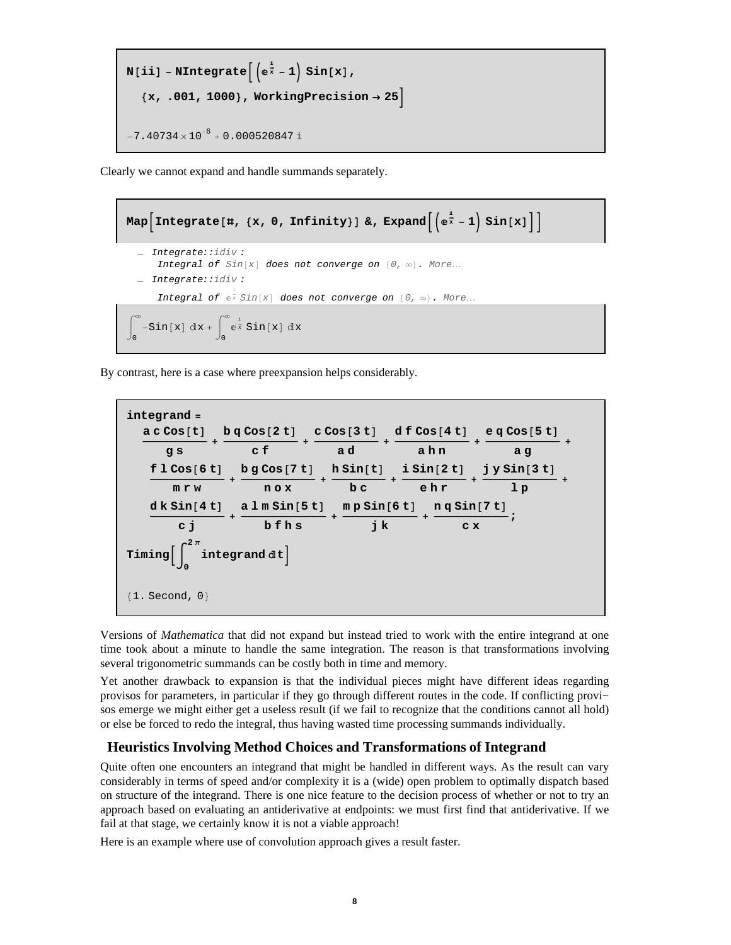```
N[ii] - NIntegrate\left[\left(e^{\frac{i}{x}}-1\right)sin\[x]\right] ,
  \{x, .001, 1000\}, WorkingPrecision \rightarrow 25<sup>†</sup>
-7\,.\,40734\times 10^{-6} + 0.000520847 \rm \dot{\rm n}
```
Clearly we cannot expand and handle summands separately.

 $\mathtt{Map}\Big[\texttt{Integrate}[\texttt{\#},~\{\texttt{\textbf{x}},~\texttt{0},~\texttt{Infinity}\}]\ \texttt{\&},~\texttt{Expand}\Big[\Big(\texttt{\texttt{e}}^{\frac{\texttt{i}}{\texttt{x}}}-1\Big)\ \texttt{Sin}\big[\texttt{\textbf{x}}\big]\Big]\Big]$ ~ Integrate::idiv : Integral of  $Sin[x]$  does not converge on  ${0, \infty}$ . More... ~ Integrate::idiv : Integral of  $e^{\frac{i}{x}}$  Sin $[x]$  does not converge on  $\{0\}$ ,  $\infty\}$ . More...  $\int_{0}$  $\int_{0}^{\infty} -\sin[x] \, dx + \int_{0}^{\infty}$  $e^{\frac{i}{x}}$  Sin[x] dx

By contrast, here is a case where preexpansion helps considerably.



Versions of *Mathematica* that did not expand but instead tried to work with the entire integrand at one time took about a minute to handle the same integration. The reason is that transformations involving several trigonometric summands can be costly both in time and memory.

Yet another drawback to expansion is that the individual pieces might have different ideas regarding provisos for parameters, in particular if they go through different routes in the code. If conflicting provi− sos emerge we might either get a useless result (if we fail to recognize that the conditions cannot all hold) or else be forced to redo the integral, thus having wasted time processing summands individually.

### **Heuristics Involving Method Choices and Transformations of Integrand**

Quite often one encounters an integrand that might be handled in different ways. As the result can vary considerably in terms of speed and/or complexity it is a (wide) open problem to optimally dispatch based on structure of the integrand. There is one nice feature to the decision process of whether or not to try an approach based on evaluating an antiderivative at endpoints: we must first find that antiderivative. If we fail at that stage, we certainly know it is not a viable approach!

Here is an example where use of convolution approach gives a result faster.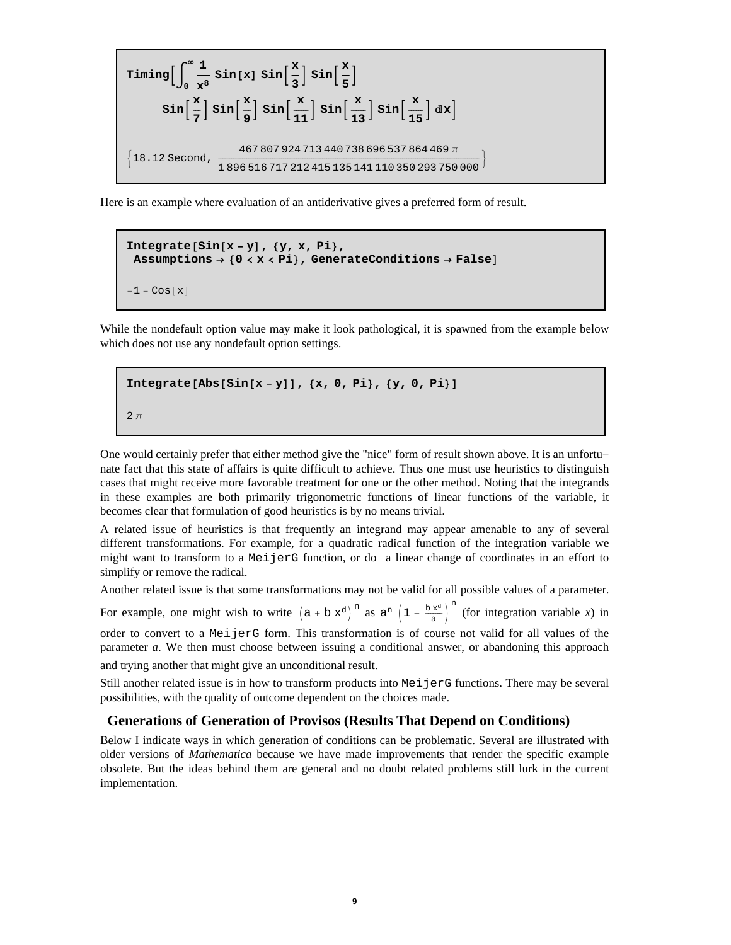$$
\begin{aligned}\n\text{Tinning} \Big[ & \int_0^\infty \frac{1}{x^8} \sin[x] \sin\left[\frac{x}{3}\right] \sin\left[\frac{x}{5}\right] \\
&\sin\left[\frac{x}{7}\right] \sin\left[\frac{x}{9}\right] \sin\left[\frac{x}{11}\right] \sin\left[\frac{x}{13}\right] \sin\left[\frac{x}{15}\right] \text{d}x \\
& \left\{18.12 \text{ Second}, \frac{467807924713440738696537864469 \pi}{1896516717212415135141110350293750000}\right\}\n\end{aligned}
$$

Here is an example where evaluation of an antiderivative gives a preferred form of result.

```
Integrate@Sin@x - yD, 8y, x, Pi<,
Assumptions → {0 < x < Pi}, GenerateConditions → False}
-1 - \cos x
```
While the nondefault option value may make it look pathological, it is spawned from the example below which does not use any nondefault option settings.

 $Integrate[Abs[Sin[x - y]], {x, 0, Pi}, {y, 0, Pi}]$  $2 \pi$ 

One would certainly prefer that either method give the "nice" form of result shown above. It is an unfortu− nate fact that this state of affairs is quite difficult to achieve. Thus one must use heuristics to distinguish cases that might receive more favorable treatment for one or the other method. Noting that the integrands in these examples are both primarily trigonometric functions of linear functions of the variable, it becomes clear that formulation of good heuristics is by no means trivial.

A related issue of heuristics is that frequently an integrand may appear amenable to any of several different transformations. For example, for a quadratic radical function of the integration variable we might want to transform to a MeijerG function, or do a linear change of coordinates in an effort to simplify or remove the radical.

Another related issue is that some transformations may not be valid for all possible values of a parameter.

For example, one might wish to write  $(a + b x^d)^n$  as  $a^n (1 + \frac{bx^d}{a})$  $\frac{1}{a}$ n (for integration variable *x*) in order to convert to a MeijerG form. This transformation is of course not valid for all values of the parameter *a*. We then must choose between issuing a conditional answer, or abandoning this approach and trying another that might give an unconditional result.

Still another related issue is in how to transform products into MeijerG functions. There may be several possibilities, with the quality of outcome dependent on the choices made.

### **Generations of Generation of Provisos (Results That Depend on Conditions)**

Below I indicate ways in which generation of conditions can be problematic. Several are illustrated with older versions of *Mathematica* because we have made improvements that render the specific example obsolete. But the ideas behind them are general and no doubt related problems still lurk in the current implementation.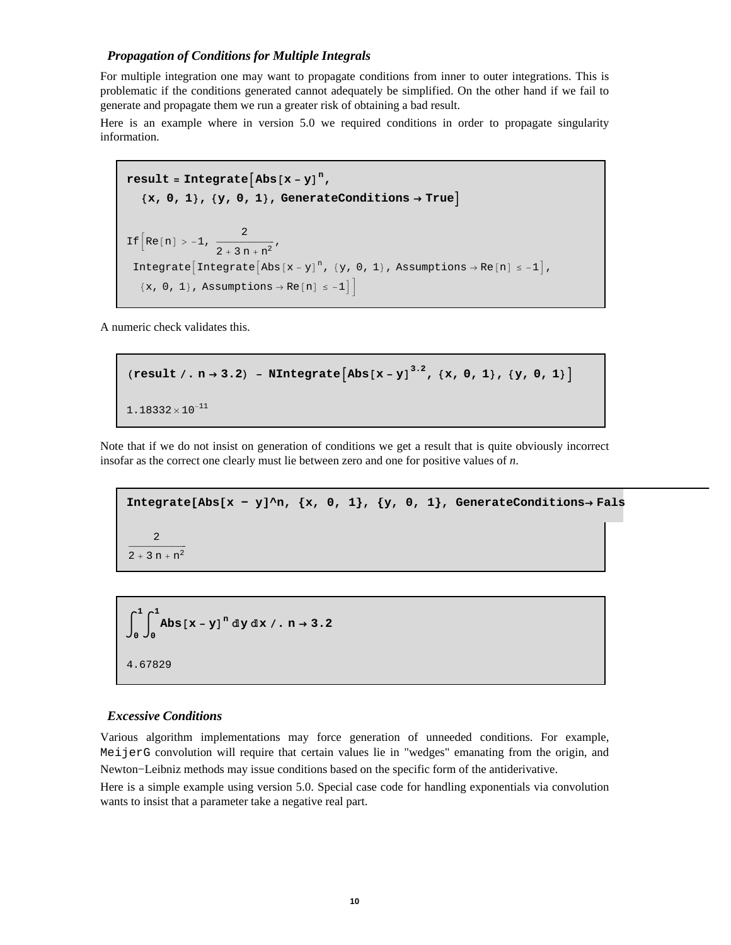#### *Propagation of Conditions for Multiple Integrals*

For multiple integration one may want to propagate conditions from inner to outer integrations. This is problematic if the conditions generated cannot adequately be simplified. On the other hand if we fail to generate and propagate them we run a greater risk of obtaining a bad result.

Here is an example where in version 5.0 we required conditions in order to propagate singularity information.

 ${\bf r}$ **esult** =  ${\bf Integrate}$   $\begin{bmatrix} {\bf Abs}\, {\bf x}-{\bf y} \end{bmatrix}^{\bf n}$  $\{x, 0, 1\}$ ,  $\{y, 0, 1\}$ , GenerateConditions  $\rightarrow$  True If  $\left[Re\left[n\right] > -1, \frac{2}{2 \cdot 2 \cdot 2 \cdot 2^{2}}\right]$  $\frac{1}{2+3 n + n^2}$ Integrate  $\left[\text{Integrate}\left[\text{Abs}\left[x - y\right]^n, \{y, 0, 1\}, \text{Assumptions} \rightarrow \text{Re}\left[n\right] \leq -1\right],$  $\{x, 0, 1\}$ , Assumptions  $\rightarrow$  Re[n]  $\le -1$ ]

A numeric check validates this.

```
(result /. n \rightarrow 3.2) - NIntegrate [Abs [x - y]<sup>3.2</sup>, {x, 0, 1}, {y, 0, 1}]
1.18332 \times 10^{-11}
```
Note that if we do not insist on generation of conditions we get a result that is quite obviously incorrect insofar as the correct one clearly must lie between zero and one for positive values of *n*.

**Integrate[Abs[x − y]^n, {x, 0, 1}, {y, 0, 1}, GenerateConditions® False]** 2  $2 + 3 n + n^2$ 

$$
\int_{0}^{1} \int_{0}^{1} \text{Abs} [\mathbf{x} - \mathbf{y}]^{n} \, \text{d}\mathbf{y} \, \text{d}\mathbf{x} \, / \, . \, n \to 3.2
$$
  
4.67829

### *Excessive Conditions*

Various algorithm implementations may force generation of unneeded conditions. For example, MeijerG convolution will require that certain values lie in "wedges" emanating from the origin, and Newton−Leibniz methods may issue conditions based on the specific form of the antiderivative.

Here is a simple example using version 5.0. Special case code for handling exponentials via convolution wants to insist that a parameter take a negative real part.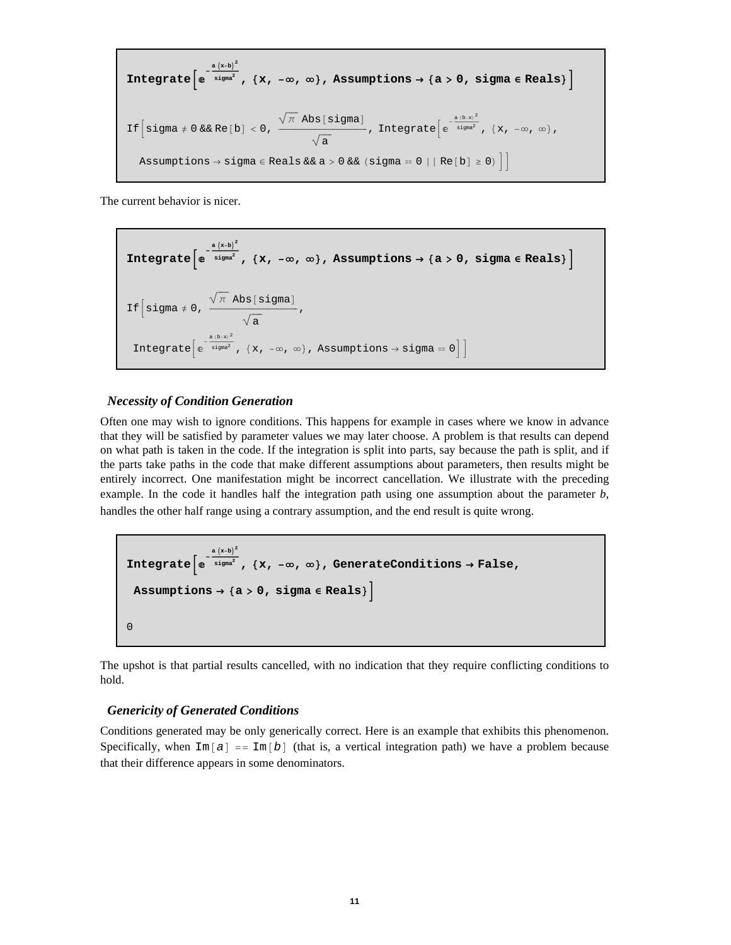```
\nIntegrate[e-\frac{a(x-b)^2}{signa^2}, {x, -\infty, \infty}, Assumptions \to {a > 0, sigma \in Reals}\n
```
\n
$$
\text{If}\left[\text{sigma} \neq 0 \& R \in [b] < 0, \frac{\sqrt{\pi} \text{ Abs}[\text{sigma}]}{\sqrt{a}}, \text{Integrate}\left[e^{-\frac{a(b-x)^2}{signa^2}}, \{x, -\infty, \infty\},\sqrt{a}\right]\right]
$$
\nAssumptions \to sigma \in Reals & a > 0 & (sigma = 0 || Re[b] \ge 0)\n

The current behavior is nicer.

```
\nIntegrate[e-a(x-b)^2, {x, -∞, ∞}, Assuming + {a > 0, sigma ∈ Reals}]\nIf[sigma ≠ 0, 
$$
\frac{\sqrt{\pi} \text{ Abs}[\text{sigma}]}{\sqrt{a}}
$$
,\nIntegrate[e-a(b-x)^2, {x, -∞, ∞}, Assuming + 0]\n
```

### *Necessity of Condition Generation*

Often one may wish to ignore conditions. This happens for example in cases where we know in advance that they will be satisfied by parameter values we may later choose. A problem is that results can depend on what path is taken in the code. If the integration is split into parts, say because the path is split, and if the parts take paths in the code that make different assumptions about parameters, then results might be entirely incorrect. One manifestation might be incorrect cancellation. We illustrate with the preceding example. In the code it handles half the integration path using one assumption about the parameter *b*, handles the other half range using a contrary assumption, and the end result is quite wrong.

```
\text{Integrate}\left[\mathbf{e}^{-\frac{\mathbf{a}\left(\mathbf{x}-\mathbf{b}\right)^{2}}{\text{sigma}^{2}}}\right]sigma2
, 8x, -¥, ¥<, GenerateConditions ® False,
 \{a > 0, \text{ sigma} \in \text{Reals}\}\0
```
The upshot is that partial results cancelled, with no indication that they require conflicting conditions to hold.

#### *Genericity of Generated Conditions*

Conditions generated may be only generically correct. Here is an example that exhibits this phenomenon. Specifically, when  $\text{Im}[a] == \text{Im}[b]$  (that is, a vertical integration path) we have a problem because that their difference appears in some denominators.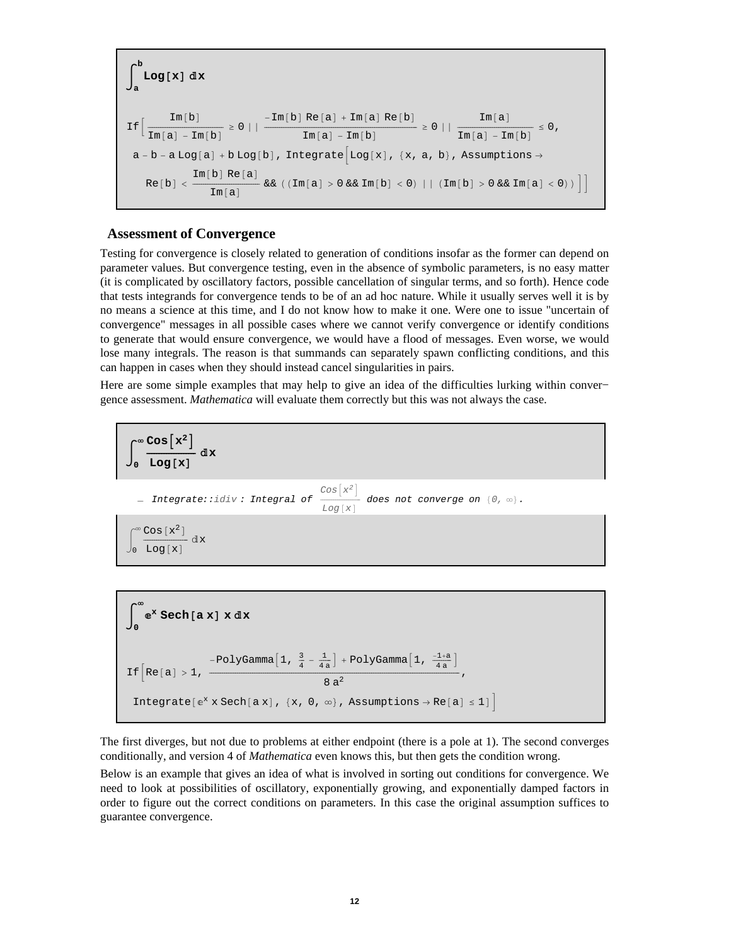$$
\int_{a}^{b} Log\left[\begin{array}{c} x \end{array}\right] \, dx
$$
\n
$$
If \left[ \frac{Im[b]}{Im[a] - Im[b]} \ge 0 \mid \mid \frac{-Im[b] \, Re[a] + Im[a] \, Re[b]}{Im[a] - Im[b]} \ge 0 \mid \mid \frac{Im[a]}{Im[a] - Im[b]} \le 0,
$$
\n
$$
a - b - a \, Log[a] + b \, Log[b] \, , \, Integrate \left[ Log[x] \, , \, \{x, a, b\} \, , \, Assumptions \rightarrow
$$
\n
$$
Re[b] < \frac{Im[b] \, Re[a]}{Im[a]} \, \& \, \left( \, (Im[a] > 0 \, \& Im[b] < 0) \, \mid \mid \, (Im[b] > 0 \, \& Im[a] < 0) \, \right) \right]
$$

#### **Assessment of Convergence**

Testing for convergence is closely related to generation of conditions insofar as the former can depend on parameter values. But convergence testing, even in the absence of symbolic parameters, is no easy matter (it is complicated by oscillatory factors, possible cancellation of singular terms, and so forth). Hence code that tests integrands for convergence tends to be of an ad hoc nature. While it usually serves well it is by no means a science at this time, and I do not know how to make it one. Were one to issue "uncertain of convergence" messages in all possible cases where we cannot verify convergence or identify conditions to generate that would ensure convergence, we would have a flood of messages. Even worse, we would lose many integrals. The reason is that summands can separately spawn conflicting conditions, and this can happen in cases when they should instead cancel singularities in pairs.

Here are some simple examples that may help to give an idea of the difficulties lurking within convergence assessment. Mathematica will evaluate them correctly but this was not always the case.

 $\begin{array}{lll} \text{\textendash} & \text{\textendash} & \text{\textbf{Integral of}} & \begin{array}{l} & \text{\textbf{Cos}\,}\big[x^2\big] \\ & \text{\textbf{Log ex}} \\ & \text{\textbf{Log ex}} \end{array} \text{\textbf{not converge on}} & \{0\, , \, \infty \} \, . \end{array}$  $\frac{\cos\left[\mathbf{x}^2\right]}{\cos\left[\mathbf{x}^2\right]}$  dx  $\int_0$  Log[x]

$$
\int_{0}^{\infty} e^{x} \operatorname{Sech}[a x] x dx
$$
\n
$$
= \operatorname{PolyGamma}[1, \frac{3}{4} - \frac{1}{4a}] + \operatorname{PolyGamma}[1, \frac{-1+a}{4a}]
$$
\n
$$
8 a^{2}
$$
\n
$$
\operatorname{Integrate}[e^{x} x \operatorname{Sech}[a x], \{x, 0, \infty\}, \operatorname{Assumptions} \to \operatorname{Re}[a] \le 1]
$$

The first diverges, but not due to problems at either endpoint (there is a pole at 1). The second converges conditionally, and version 4 of *Mathematica* even knows this, but then gets the condition wrong.

Below is an example that gives an idea of what is involved in sorting out conditions for convergence. We need to look at possibilities of oscillatory, exponentially growing, and exponentially damped factors in order to figure out the correct conditions on parameters. In this case the original assumption suffices to guarantee convergence.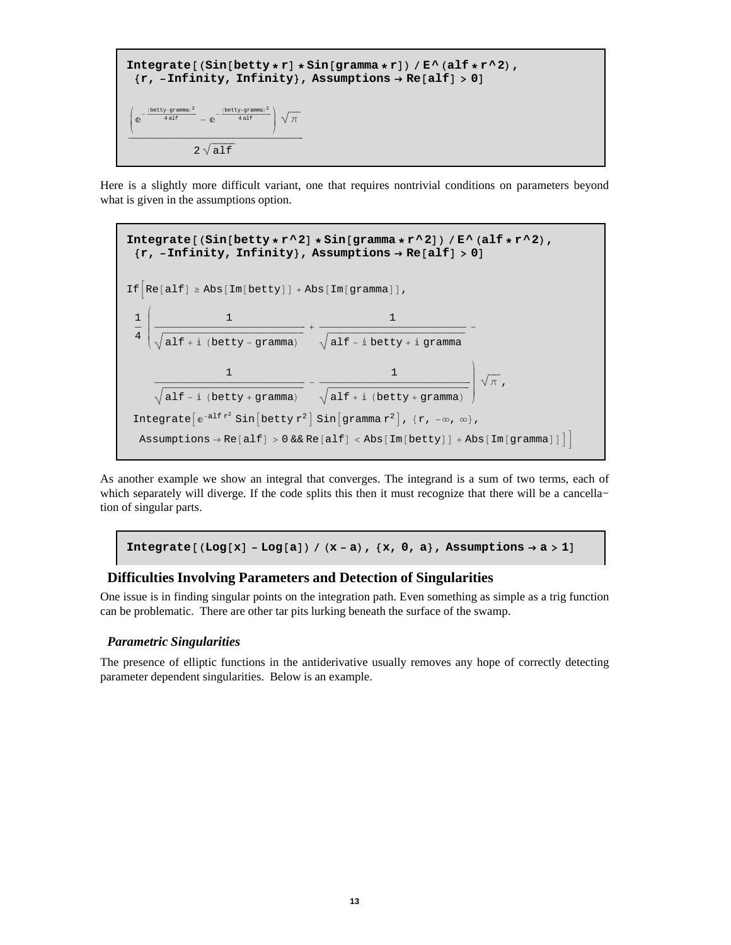```
Integrate [(Sin[betty * r] * Sin[gramma * r]) / E^ (alf * r^2),
  \{r, -Infinitey, Infinitey\}, Assumptions \rightarrow Re[alf] > 0]
  \mathbb{e}^{-\frac{\left(\text{betty-gramma}\right)^2}{4 \text{ alf}}} - \mathbb{e}^{-\frac{\left(\text{betty+gramma}\right)^2}{4 \text{ alf}}}\sqrt{\pi}2\sqrt{alt}
```
Here is a slightly more difficult variant, one that requires nontrivial conditions on parameters beyond what is given in the assumptions option.

Integrate [(Sin[betty \* r^2] \* Sin[gramma \* r^2]) / E^ (alf \* r^2),  $\{r, -Infinity, Infinity\}$ , Assumptions  $\rightarrow$  Re[alf] > 0]  $\texttt{If}\Big[\texttt{Re}\hspace{0.05cm}[ \texttt{alf}]\geq \texttt{Abs}\hspace{0.05cm}[ \texttt{Im}\hspace{0.05cm}[ \texttt{betty}]\hspace{0.05cm}] + \texttt{Abs}\hspace{0.05cm}[ \texttt{Im}\hspace{0.05cm}[ \texttt{gramma}]\hspace{0.05cm}] \textit{,}$  $\left(\frac{1}{\sqrt{alt + i (betty - gramma)}} + \frac{1}{\sqrt{alt - i betty + i gramma}}\right)$  $\frac{1}{\sqrt{\text{alf}-i (\text{betty}+\text{gramma})}} - \frac{1}{\sqrt{\text{alf}+i (\text{betty}+\text{gramma})}} \left(\sqrt{\pi}\right),$ Integrate  $\left[e^{-a1f r^2} \sin\left[\text{betty }r^2\right] \sin\left[\text{gramma }r^2\right], \{r, -\infty, \infty\},\right]$ Assumptions  $\rightarrow$  Re[alf]  $> 0$  & & Re[alf] < Abs[Im[betty]] + Abs[Im[gramma]]

As another example we show an integral that converges. The integrand is a sum of two terms, each of which separately will diverge. If the code splits this then it must recognize that there will be a cancellation of singular parts.

Integrate [(Log[x] - Log[a]) / (x - a), {x, 0, a}, Assumptions  $\rightarrow$  a > 1]

### **Difficulties Involving Parameters and Detection of Singularities**

One issue is in finding singular points on the integration path. Even something as simple as a trig function can be problematic. There are other tar pits lurking beneath the surface of the swamp.

#### **Parametric Singularities**

The presence of elliptic functions in the antiderivative usually removes any hope of correctly detecting parameter dependent singularities. Below is an example.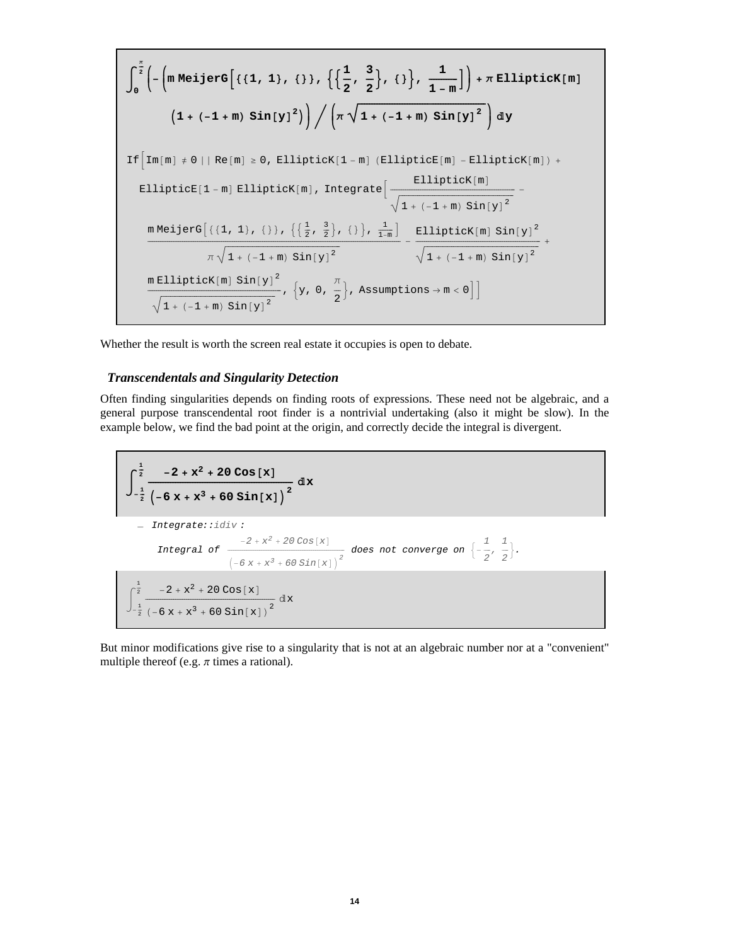$$
\int_{0}^{\frac{\pi}{2}} \left( -\left( m \text{ Meijerc}\left[ \left\{ \{1, 1\}, \{\}\right\} \right\} \right) \left\{ \left\{ \frac{1}{2}, \frac{3}{2} \right\}, \{\}\right\} \right) + \frac{1}{1 - m} \right] + \pi \text{ EllipticK[m]}
$$
\n
$$
\left( 1 + (-1 + m) \sin[y]^2 \right) \Bigg/ \left( \pi \sqrt{1 + (-1 + m) \sin[y]^2} \right) dy
$$
\n
$$
\text{If } \left[ \text{Im}[\ln] \neq 0 \mid |\operatorname{Re}[\ln] \geq 0, \operatorname{EllipticK}[1 - m] \left( \operatorname{EllipticE}[\ln] - \operatorname{EllipticK}[\ln] \right) + \operatorname{EllipticE}[1 - m] \operatorname{EllipticK}[\ln], \operatorname{Integrate} \left( \frac{\operatorname{EllipticK}[\ln]}{\sqrt{1 + (-1 + m) \sin[y]^2}} - \frac{\pi \text{Meijerc}\left[ \left\{ \{1, 1\}, \{\}\right\} \right\} \left\{ \frac{1}{2}, \frac{3}{2} \right\} \left\{ \} \right\} \right) + \frac{1}{1 - m} \Bigg. - \frac{\operatorname{EllipticK}[\ln] \sin[y]^2}{\sqrt{1 + (-1 + m) \sin[y]^2}} + \frac{\pi \text{EllipticK}[\ln] \sin[y]^2}{\sqrt{1 + (-1 + m) \sin[y]^2}} + \frac{\pi \text{EllipticK}[\ln] \sin[y]^2}{\sqrt{1 + (-1 + m) \sin[y]^2}} \left\{ \frac{y}{1 + (-1 + m) \sin[y]^2} \right\} \left\{ \frac{y}{1 + (-1 + m) \sin[y]^2} \right\} \right. + \left. \left\{ \frac{1}{2}, \frac{1}{2} \right\} \text{Assumptions} \rightarrow m < 0 \right] \Bigg|
$$

Whether the result is worth the screen real estate it occupies is open to debate.

### **Transcendentals and Singularity Detection**

Often finding singularities depends on finding roots of expressions. These need not be algebraic, and a general purpose transcendental root finder is a nontrivial undertaking (also it might be slow). In the example below, we find the bad point at the origin, and correctly decide the integral is divergent.

$$
\int_{-\frac{1}{2}}^{\frac{1}{2}} \frac{-2 + x^2 + 20 \cos [x]}{(-6x + x^3 + 60 \sin [x])^2} dx
$$
  
\n- *Integrate: idiv :*  
\n
$$
\int_{-\frac{1}{2}}^{\frac{1}{2}} \frac{-2 + x^2 + 20 \cos [x]}{(-6x + x^3 + 60 \sin [x])^2} does not converge on \left\{ -\frac{1}{2}, \frac{1}{2} \right\}.
$$
  
\n
$$
\int_{-\frac{1}{2}}^{\frac{1}{2}} \frac{-2 + x^2 + 20 \cos [x]}{(-6x + x^3 + 60 \sin [x])^2} dx
$$

But minor modifications give rise to a singularity that is not at an algebraic number nor at a "convenient" multiple thereof (e.g.  $\pi$  times a rational).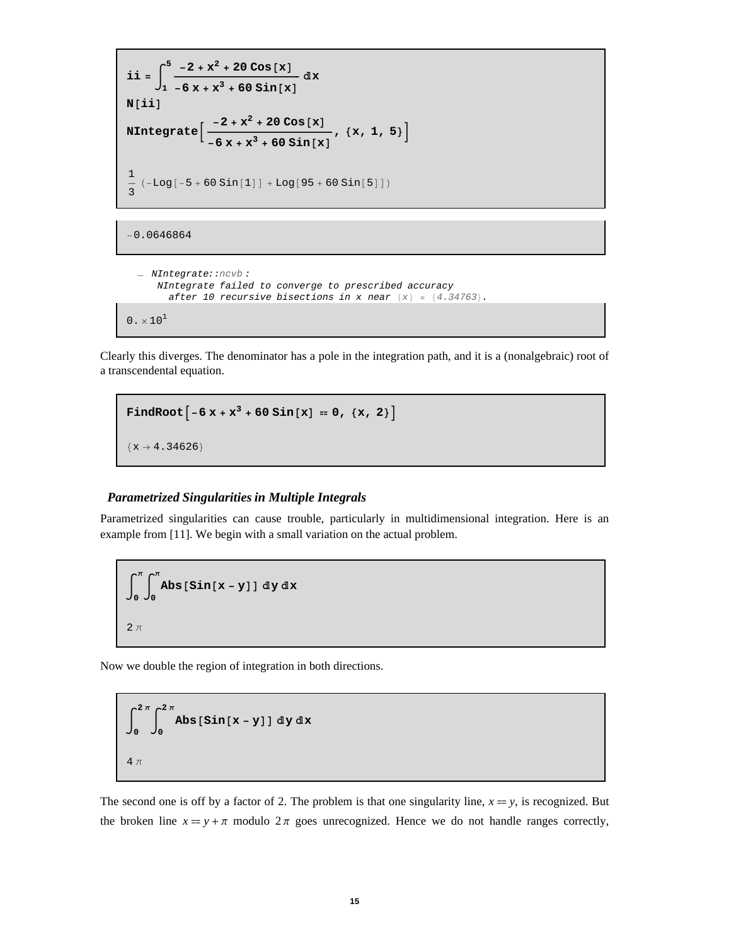$$
\begin{aligned}\n\text{ii} &= \int_{1}^{5} \frac{-2 + x^2 + 20 \cos[x]}{-6x + x^3 + 60 \sin[x]} \, \text{d}x \\
\text{N[ii]} \\
\text{NIntegrate} & \left[ \frac{-2 + x^2 + 20 \cos[x]}{-6x + x^3 + 60 \sin[x]}, \, \{x, 1, 5\} \right] \\
\frac{1}{3} \left( -\log[-5 + 60 \sin[1]] + \log[95 + 60 \sin[5]] \right)\n\end{aligned}
$$

 $-0.0646864$ 

```
- NIntegrate:: ncvb :
     NIntegrate failed to converge to prescribed accuracy
        after 10 recursive bisections in x near \{x\} = \{4.34763\}.
0. \times 10^{1}
```
Clearly this diverges. The denominator has a pole in the integration path, and it is a (nonalgebraic) root of a transcendental equation.

```
FindRoot [-6x + x^3 + 60 \sin[x] = 0, {x, 2}]{x \to 4.34626}
```
### **Parametrized Singularities in Multiple Integrals**

Parametrized singularities can cause trouble, particularly in multidimensional integration. Here is an example from [11]. We begin with a small variation on the actual problem.

$$
\int_0^{\pi} \int_0^{\pi} \text{abs} \left[ \sin \left[ x - y \right] \right] \, dy \, dx
$$
  
2 \pi

Now we double the region of integration in both directions.

$$
\int_0^{2\pi} \int_0^{2\pi} \text{Abs}\left[\sin\left[\mathbf{x} - \mathbf{y}\right]\right] \, \mathrm{d}\mathbf{y} \, \mathrm{d}\mathbf{x}
$$
  
4 $\pi$ 

The second one is off by a factor of 2. The problem is that one singularity line,  $x = y$ , is recognized. But the broken line  $x = y + \pi$  modulo  $2\pi$  goes unrecognized. Hence we do not handle ranges correctly,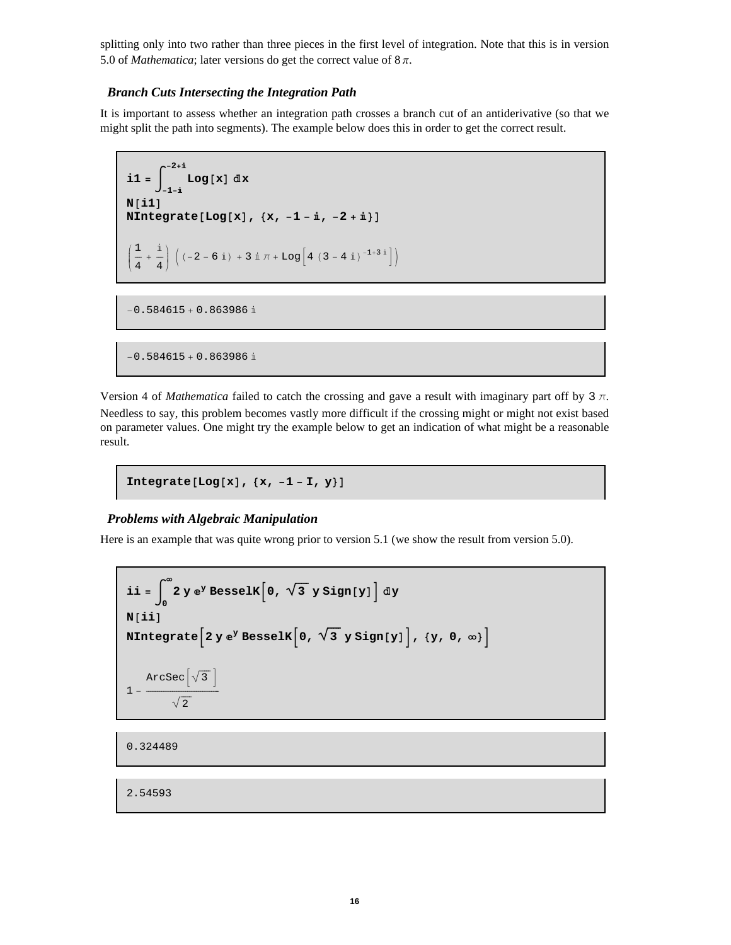$\begin{aligned} 2 & x = y, \end{aligned}$  $2\pi$ 

splitting only into two rather than three pieces in the first level of integration. Note that this is in version 5.0 of *Mathematica*; later versions do get the correct value of  $8 \pi$ .

### *Branch Cuts Intersecting the Integration Path*

It is important to assess whether an integration path crosses a branch cut of an antiderivative (so that we might split the path into segments). The example below does this in order to get the correct result.

 $i1 = \int_{-1-i}^{1}$ **-2+ä Log@x<sup>D</sup> <sup>â</sup><sup>x</sup> N@i1D NIntegrate** [Log[x], {x, -1 - **i**, -2 + **i**}] i k  $\left(\frac{1}{4}\right)$ 4 + ä 4  $\mathbf{r}$  $\overline{a}$  $\left( (-2 - 6 \text{ i}) + 3 \text{ i} \pi + \text{Log} \left[ 4 (3 - 4 \text{ i})^{-1+3 \text{ i}} \right] \right)$ 

 $-0.584615 + 0.863986$  i

 $-0.584615 + 0.863986$  i

Version 4 of *Mathematica* failed to catch the crossing and gave a result with imaginary part off by 3  $π$ . Needless to say, this problem becomes vastly more difficult if the crossing might or might not exist based on parameter values. One might try the example below to get an indication of what might be a reasonable result.

 $Integrate[Log[x], {x, -1 - I, y}]$ 

#### *Problems with Algebraic Manipulation*

2.54593

Here is an example that was quite wrong prior to version 5.1 (we show the result from version 5.0).

```
ii = à
0
                 ¥
                   2 y e^Y BesselK\left[0, \sqrt{3} \right] y Sign\left[\gamma\right] \right] dy
N@iiD
 \mathbf{NIntegrate}\left[2\ \mathbf{y}\ \mathbf{e}^{\mathbf{y}}\ \texttt{BesselK}\bigg[0\, ,\ \sqrt{3}\ \ \mathbf{y}\ \texttt{Sign}\left[\mathbf{y}\right]\bigg] , \{\mathbf{y}\, ,\ 0\, ,\ \infty\}\bigg]1 - 
ArcSecB
!!!!!
3 F
                   \sqrt{2}2
0.324489
```
The problem was in the innards of the convolution code. At a key step we made use of an exponential of the form exponential  $\left(\begin{smallmatrix}(-2 & \mathbb{1}) & \pi - \log\left(\frac{4}{3}\right)\end{smallmatrix}\right)$  $\left(\frac{4}{3}\right)$  + 2 log(2)) and we subsequently required a square root. Once we replace exponential with Exp we lose track of a factor of  $(-1)$  and this gave rise to a bad result. While this example is now repaired the general problem remains of how to find and forestall this phenomenon. **<sup>16</sup>**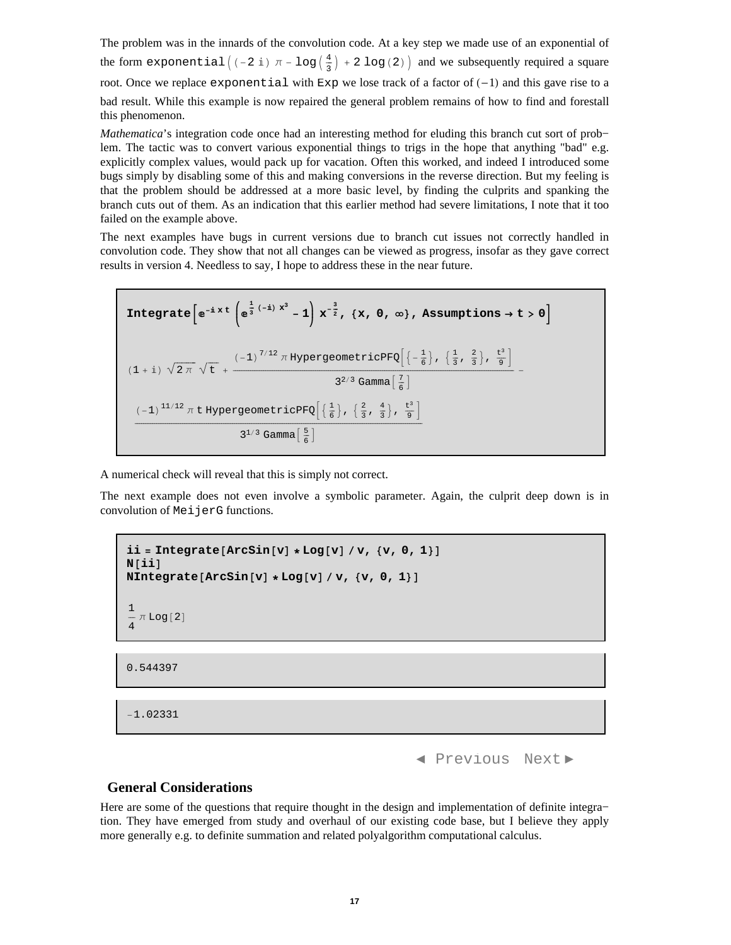The problem was in the innards of the convolution code. At a key step we made use of an exponential of the form exponential  $\left(\begin{smallmatrix}(-2 & \mathbb{1}) & \pi - \log\left(\frac{4}{3}\right)\end{smallmatrix}\right)$  $\left(\frac{4}{3}\right)$  + 2 log(2)) and we subsequently required a square root. Once we replace exponential with Exp we lose track of a factor of  $(-1)$  and this gave rise to a bad result. While this example is now repaired the general problem remains of how to find and forestall this phenomenon.

*Mathematica*'s integration code once had an interesting method for eluding this branch cut sort of prob− lem. The tactic was to convert various exponential things to trigs in the hope that anything "bad" e.g. explicitly complex values, would pack up for vacation. Often this worked, and indeed I introduced some bugs simply by disabling some of this and making conversions in the reverse direction. But my feeling is that the problem should be addressed at a more basic level, by finding the culprits and spanking the branch cuts out of them. As an indication that this earlier method had severe limitations, I note that it too failed on the example above.

The next examples have bugs in current versions due to branch cut issues not correctly handled in convolution code. They show that not all changes can be viewed as progress, insofar as they gave correct results in version 4. Needless to say, I hope to address these in the near future.

Integrate 
$$
\left[e^{-i \times t} \left(e^{\frac{1}{3}(-i) \times^{3}} - 1\right) \times \frac{3}{2}, \{x, 0, \infty\}, \text{Assumptions} \to t > 0\right]
$$
\n
$$
(1 + i) \sqrt{2\pi} \sqrt{t} + \frac{(-1)^{7/12} \pi \text{ HypergeometricPFQ}\left[\left\{-\frac{1}{6}\right\}, \left\{\frac{1}{3}, \frac{2}{3}\right\}, \frac{t^{3}}{9}\right]}{3^{2/3} \text{ Gamma}\left[\frac{7}{6}\right]}
$$
\n
$$
\frac{(-1)^{11/12} \pi \text{ HypergeometricPFQ}\left[\left\{\frac{1}{6}\right\}, \left\{\frac{2}{3}, \frac{4}{3}\right\}, \frac{t^{3}}{9}\right]}{3^{1/3} \text{ Gamma}\left[\frac{5}{6}\right]}
$$

A numerical check will reveal that this is simply not correct.

The next example does not even involve a symbolic parameter. Again, the culprit deep down is in convolution of MeijerG functions.

```
ii = Integrate@ArcSin@vD * Log@vD  v, 8v, 0, 1<D
N@iiD
AIntegrate[ArcSin[v] *Log[v] / v, {v, 0, 1}]
\overline{a}1
  \pi Log [2]
```
0.544397

4

-1.02331

¢ Previous Next £

### **General Considerations**

Here are some of the questions that require thought in the design and implementation of definite integra– tion. They have emerged from study and overhaul of our existing code base, but I believe they apply more generally e.g. to definite summation and related polyalgorithm computational calculus.

è Given a choice of methods, which should one attempt first? This can have serious repercussions in terms of speed. For example, what might be a fast MeijerG convolution can be very slow to evaluate as an indefinite integral followed by extraction of limiting values. And of course the opposite can happen. Or the methods might be comparable in speed but give results of vastly different complexity of form.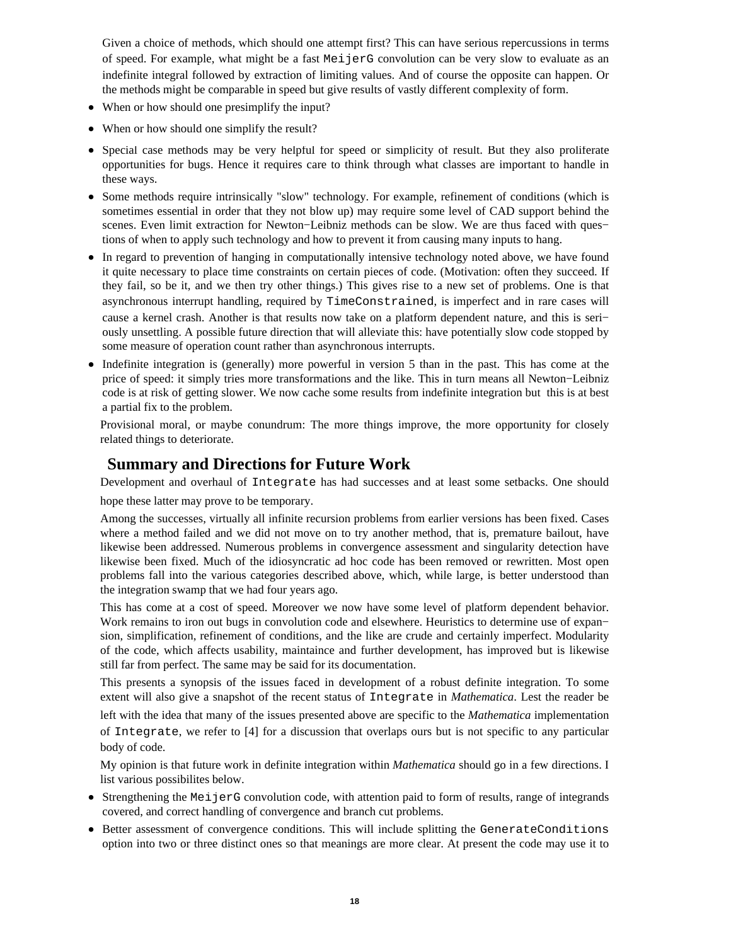Given a choice of methods, which should one attempt first? This can have serious repercussions in terms of speed. For example, what might be a fast MeijerG convolution can be very slow to evaluate as an indefinite integral followed by extraction of limiting values. And of course the opposite can happen. Or the methods might be comparable in speed but give results of vastly different complexity of form.

- è When or how should one presimplify the input?
- è When or how should one simplify the result?
- è Special case methods may be very helpful for speed or simplicity of result. But they also proliferate opportunities for bugs. Hence it requires care to think through what classes are important to handle in these ways.
- è Some methods require intrinsically "slow" technology. For example, refinement of conditions (which is sometimes essential in order that they not blow up) may require some level of CAD support behind the scenes. Even limit extraction for Newton–Leibniz methods can be slow. We are thus faced with ques− tions of when to apply such technology and how to prevent it from causing many inputs to hang.
- è In regard to prevention of hanging in computationally intensive technology noted above, we have found it quite necessary to place time constraints on certain pieces of code. (Motivation: often they succeed. If they fail, so be it, and we then try other things.) This gives rise to a new set of problems. One is that asynchronous interrupt handling, required by TimeConstrained, is imperfect and in rare cases will cause a kernel crash. Another is that results now take on a platform dependent nature, and this is seri− ously unsettling. A possible future direction that will alleviate this: have potentially slow code stopped by some measure of operation count rather than asynchronous interrupts.
- è Indefinite integration is (generally) more powerful in version 5 than in the past. This has come at the price of speed: it simply tries more transformations and the like. This in turn means all Newton−Leibniz code is at risk of getting slower. We now cache some results from indefinite integration but this is at best a partial fix to the problem.

Provisional moral, or maybe conundrum: The more things improve, the more opportunity for closely related things to deteriorate.

# **Summary and Directions for Future Work**

Development and overhaul of Integrate has had successes and at least some setbacks. One should

hope these latter may prove to be temporary.

Among the successes, virtually all infinite recursion problems from earlier versions has been fixed. Cases where a method failed and we did not move on to try another method, that is, premature bailout, have likewise been addressed. Numerous problems in convergence assessment and singularity detection have likewise been fixed. Much of the idiosyncratic ad hoc code has been removed or rewritten. Most open problems fall into the various categories described above, which, while large, is better understood than the integration swamp that we had four years ago.

This has come at a cost of speed. Moreover we now have some level of platform dependent behavior. Work remains to iron out bugs in convolution code and elsewhere. Heuristics to determine use of expan− sion, simplification, refinement of conditions, and the like are crude and certainly imperfect. Modularity of the code, which affects usability, maintaince and further development, has improved but is likewise still far from perfect. The same may be said for its documentation.

This presents a synopsis of the issues faced in development of a robust definite integration. To some extent will also give a snapshot of the recent status of Integrate in *Mathematica*. Lest the reader be

left with the idea that many of the issues presented above are specific to the *Mathematica* implementation of Integrate, we refer to [4] for a discussion that overlaps ours but is not specific to any particular body of code.

My opinion is that future work in definite integration within *Mathematica* should go in a few directions. I list various possibilites below.

- è Strengthening the MeijerG convolution code, with attention paid to form of results, range of integrands covered, and correct handling of convergence and branch cut problems.
- è Better assessment of convergence conditions. This will include splitting the GenerateConditions option into two or three distinct ones so that meanings are more clear. At present the code may use it to
- è